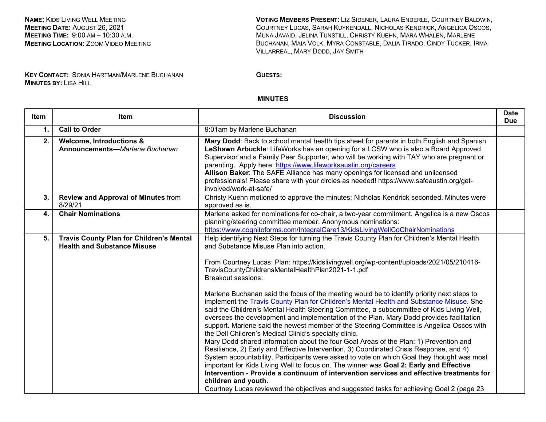**NAME:** KIDS LIVING WELL MEETING **MEETING DATE:** AUGUST 26, 2021 **MEETING TIME:** 9:00 AM – 10:30 A.M. **MEETING LOCATION:** ZOOM VIDEO MEETING

**VOTING MEMBERS PRESENT**: LIZ SIDENER, LAURA ENDERLE, COURTNEY BALDWIN, COURTNEY LUCAS, SARAH KUYKENDALL, NICHOLAS KENDRICK, ANGELICA OSCOS, MUNA JAVAID, JELINA TUNSTILL, CHRISTY KUEHN, MARA WHALEN, MARLENE BUCHANAN, MAIA VOLK, MYRA CONSTABLE, DALIA TIRADO, CINDY TUCKER, IRMA VILLARREAL, MARY DODD, JAY SMITH

**KEY CONTACT:** SONIA HARTMAN/MARLENE BUCHANAN **MINUTES BY:** LISA HILL

**GUESTS:**

## **MINUTES**

| <b>Item</b> | Item                                                                                  | <b>Discussion</b>                                                                                                                                                                                                                                                                                                                                                                                                                                                                                                                                                                                                                                                                                                                                                                                                                                                                                                                                                                                                                                                                                                                                                                                                                                                                                                                                                                                                                               | <b>Date</b><br><b>Due</b> |
|-------------|---------------------------------------------------------------------------------------|-------------------------------------------------------------------------------------------------------------------------------------------------------------------------------------------------------------------------------------------------------------------------------------------------------------------------------------------------------------------------------------------------------------------------------------------------------------------------------------------------------------------------------------------------------------------------------------------------------------------------------------------------------------------------------------------------------------------------------------------------------------------------------------------------------------------------------------------------------------------------------------------------------------------------------------------------------------------------------------------------------------------------------------------------------------------------------------------------------------------------------------------------------------------------------------------------------------------------------------------------------------------------------------------------------------------------------------------------------------------------------------------------------------------------------------------------|---------------------------|
| 1.          | <b>Call to Order</b>                                                                  | 9:01am by Marlene Buchanan                                                                                                                                                                                                                                                                                                                                                                                                                                                                                                                                                                                                                                                                                                                                                                                                                                                                                                                                                                                                                                                                                                                                                                                                                                                                                                                                                                                                                      |                           |
| 2.          | <b>Welcome, Introductions &amp;</b><br>Announcements-Marlene Buchanan                 | Mary Dodd: Back to school mental health tips sheet for parents in both English and Spanish<br>LeShawn Arbuckle: LifeWorks has an opening for a LCSW who is also a Board Approved<br>Supervisor and a Family Peer Supporter, who will be working with TAY who are pregnant or<br>parenting. Apply here: https://www.lifeworksaustin.org/careers<br>Allison Baker: The SAFE Alliance has many openings for licensed and unlicensed<br>professionals! Please share with your circles as needed! https://www.safeaustin.org/get-<br>involved/work-at-safe/                                                                                                                                                                                                                                                                                                                                                                                                                                                                                                                                                                                                                                                                                                                                                                                                                                                                                          |                           |
| 3.          | Review and Approval of Minutes from<br>8/29/21                                        | Christy Kuehn motioned to approve the minutes; Nicholas Kendrick seconded. Minutes were<br>approved as is.                                                                                                                                                                                                                                                                                                                                                                                                                                                                                                                                                                                                                                                                                                                                                                                                                                                                                                                                                                                                                                                                                                                                                                                                                                                                                                                                      |                           |
| 4.          | <b>Chair Nominations</b>                                                              | Marlene asked for nominations for co-chair, a two-year commitment. Angelica is a new Oscos<br>planning/steering committee member. Anonymous nominations:<br>https://www.cognitoforms.com/IntegralCare13/KidsLivingWellCoChairNominations                                                                                                                                                                                                                                                                                                                                                                                                                                                                                                                                                                                                                                                                                                                                                                                                                                                                                                                                                                                                                                                                                                                                                                                                        |                           |
| 5.          | <b>Travis County Plan for Children's Mental</b><br><b>Health and Substance Misuse</b> | Help identifying Next Steps for turning the Travis County Plan for Children's Mental Health<br>and Substance Misuse Plan into action.<br>From Courtney Lucas: Plan: https://kidslivingwell.org/wp-content/uploads/2021/05/210416-<br>TravisCountyChildrensMentalHealthPlan2021-1-1.pdf<br>Breakout sessions:<br>Marlene Buchanan said the focus of the meeting would be to identify priority next steps to<br>implement the Travis County Plan for Children's Mental Health and Substance Misuse. She<br>said the Children's Mental Health Steering Committee, a subcommittee of Kids Living Well,<br>oversees the development and implementation of the Plan. Mary Dodd provides facilitation<br>support. Marlene said the newest member of the Steering Committee is Angelica Oscos with<br>the Dell Children's Medical Clinic's specialty clinic.<br>Mary Dodd shared information about the four Goal Areas of the Plan: 1) Prevention and<br>Resilience, 2) Early and Effective Intervention, 3) Coordinated Crisis Response, and 4)<br>System accountability. Participants were asked to vote on which Goal they thought was most<br>important for Kids Living Well to focus on. The winner was Goal 2: Early and Effective<br>Intervention - Provide a continuum of intervention services and effective treatments for<br>children and youth.<br>Courtney Lucas reviewed the objectives and suggested tasks for achieving Goal 2 (page 23 |                           |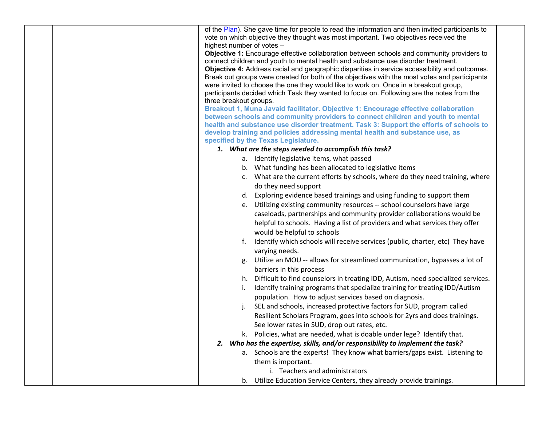| of the Plan). She gave time for people to read the information and then invited participants to                                                              |
|--------------------------------------------------------------------------------------------------------------------------------------------------------------|
| vote on which objective they thought was most important. Two objectives received the<br>highest number of votes -                                            |
| Objective 1: Encourage effective collaboration between schools and community providers to                                                                    |
| connect children and youth to mental health and substance use disorder treatment.                                                                            |
| Objective 4: Address racial and geographic disparities in service accessibility and outcomes.                                                                |
| Break out groups were created for both of the objectives with the most votes and participants                                                                |
| were invited to choose the one they would like to work on. Once in a breakout group,                                                                         |
| participants decided which Task they wanted to focus on. Following are the notes from the                                                                    |
| three breakout groups.<br>Breakout 1, Muna Javaid facilitator. Objective 1: Encourage effective collaboration                                                |
| between schools and community providers to connect children and youth to mental                                                                              |
| health and substance use disorder treatment. Task 3: Support the efforts of schools to                                                                       |
| develop training and policies addressing mental health and substance use, as                                                                                 |
| specified by the Texas Legislature.                                                                                                                          |
| 1. What are the steps needed to accomplish this task?                                                                                                        |
| a. Identify legislative items, what passed                                                                                                                   |
| b. What funding has been allocated to legislative items                                                                                                      |
| c. What are the current efforts by schools, where do they need training, where                                                                               |
| do they need support                                                                                                                                         |
| d. Exploring evidence based trainings and using funding to support them                                                                                      |
| e. Utilizing existing community resources -- school counselors have large                                                                                    |
| caseloads, partnerships and community provider collaborations would be                                                                                       |
| helpful to schools. Having a list of providers and what services they offer                                                                                  |
| would be helpful to schools                                                                                                                                  |
| Identify which schools will receive services (public, charter, etc) They have                                                                                |
| varying needs.                                                                                                                                               |
| Utilize an MOU -- allows for streamlined communication, bypasses a lot of<br>g.                                                                              |
| barriers in this process                                                                                                                                     |
| Difficult to find counselors in treating IDD, Autism, need specialized services.<br>h.                                                                       |
| Identify training programs that specialize training for treating IDD/Autism<br>Τ.                                                                            |
| population. How to adjust services based on diagnosis.                                                                                                       |
| SEL and schools, increased protective factors for SUD, program called<br>j.<br>Resilient Scholars Program, goes into schools for 2yrs and does trainings.    |
|                                                                                                                                                              |
| See lower rates in SUD, drop out rates, etc.                                                                                                                 |
| k. Policies, what are needed, what is doable under lege? Identify that.<br>Who has the expertise, skills, and/or responsibility to implement the task?<br>2. |
| a. Schools are the experts! They know what barriers/gaps exist. Listening to                                                                                 |
| them is important.                                                                                                                                           |
| i. Teachers and administrators                                                                                                                               |
| b. Utilize Education Service Centers, they already provide trainings.                                                                                        |
|                                                                                                                                                              |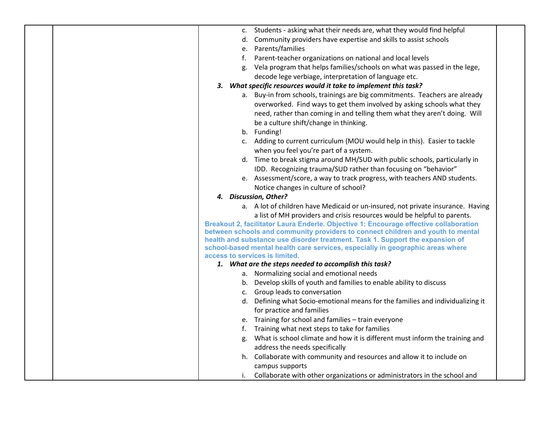|    | c. Students - asking what their needs are, what they would find helpful                                          |  |
|----|------------------------------------------------------------------------------------------------------------------|--|
|    | d. Community providers have expertise and skills to assist schools                                               |  |
|    | e. Parents/families                                                                                              |  |
|    | f. Parent-teacher organizations on national and local levels                                                     |  |
|    | g. Vela program that helps families/schools on what was passed in the lege,                                      |  |
|    | decode lege verbiage, interpretation of language etc.                                                            |  |
| 3. | What specific resources would it take to implement this task?                                                    |  |
|    | a. Buy-in from schools, trainings are big commitments. Teachers are already                                      |  |
|    | overworked. Find ways to get them involved by asking schools what they                                           |  |
|    | need, rather than coming in and telling them what they aren't doing. Will                                        |  |
|    | be a culture shift/change in thinking.                                                                           |  |
|    | b. Funding!                                                                                                      |  |
|    | c. Adding to current curriculum (MOU would help in this). Easier to tackle                                       |  |
|    | when you feel you're part of a system.                                                                           |  |
|    | d. Time to break stigma around MH/SUD with public schools, particularly in                                       |  |
|    | IDD. Recognizing trauma/SUD rather than focusing on "behavior"                                                   |  |
|    | e. Assessment/score, a way to track progress, with teachers AND students.                                        |  |
|    | Notice changes in culture of school?                                                                             |  |
|    | 4. Discussion, Other?                                                                                            |  |
|    | a. A lot of children have Medicaid or un-insured, not private insurance. Having                                  |  |
|    | a list of MH providers and crisis resources would be helpful to parents.                                         |  |
|    | Breakout 2, facilitator Laura Enderle. Objective 1: Encourage effective collaboration                            |  |
|    | between schools and community providers to connect children and youth to mental                                  |  |
|    | health and substance use disorder treatment. Task 1. Support the expansion of                                    |  |
|    | school-based mental health care services, especially in geographic areas where<br>access to services is limited. |  |
|    | 1. What are the steps needed to accomplish this task?                                                            |  |
|    | a. Normalizing social and emotional needs                                                                        |  |
|    | b. Develop skills of youth and families to enable ability to discuss                                             |  |
|    | c. Group leads to conversation                                                                                   |  |
|    |                                                                                                                  |  |
|    | d. Defining what Socio-emotional means for the families and individualizing it                                   |  |
|    | for practice and families                                                                                        |  |
|    | e. Training for school and families - train everyone                                                             |  |
|    | f. Training what next steps to take for families                                                                 |  |
|    | g. What is school climate and how it is different must inform the training and                                   |  |
|    | address the needs specifically                                                                                   |  |
|    | h. Collaborate with community and resources and allow it to include on                                           |  |
|    | campus supports                                                                                                  |  |
|    | i. Collaborate with other organizations or administrators in the school and                                      |  |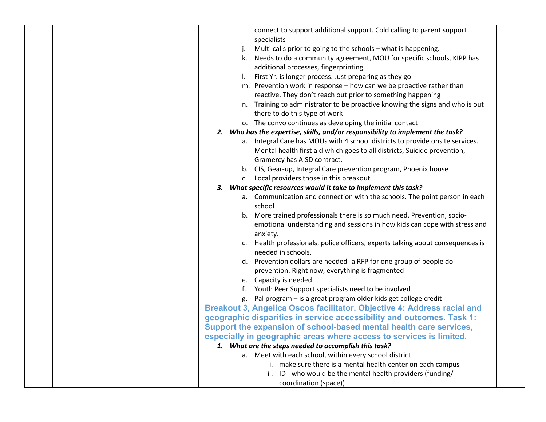| connect to support additional support. Cold calling to parent support           |  |
|---------------------------------------------------------------------------------|--|
| specialists                                                                     |  |
| Multi calls prior to going to the schools - what is happening.                  |  |
| k. Needs to do a community agreement, MOU for specific schools, KIPP has        |  |
| additional processes, fingerprinting                                            |  |
| First Yr. is longer process. Just preparing as they go                          |  |
| m. Prevention work in response - how can we be proactive rather than            |  |
| reactive. They don't reach out prior to something happening                     |  |
| n. Training to administrator to be proactive knowing the signs and who is out   |  |
| there to do this type of work                                                   |  |
| o. The convo continues as developing the initial contact                        |  |
| 2. Who has the expertise, skills, and/or responsibility to implement the task?  |  |
| a. Integral Care has MOUs with 4 school districts to provide onsite services.   |  |
| Mental health first aid which goes to all districts, Suicide prevention,        |  |
| Gramercy has AISD contract.                                                     |  |
| b. CIS, Gear-up, Integral Care prevention program, Phoenix house                |  |
| c. Local providers those in this breakout                                       |  |
| 3. What specific resources would it take to implement this task?                |  |
| a. Communication and connection with the schools. The point person in each      |  |
| school                                                                          |  |
| b. More trained professionals there is so much need. Prevention, socio-         |  |
| emotional understanding and sessions in how kids can cope with stress and       |  |
| anxiety.                                                                        |  |
| c. Health professionals, police officers, experts talking about consequences is |  |
| needed in schools.                                                              |  |
| d. Prevention dollars are needed- a RFP for one group of people do              |  |
| prevention. Right now, everything is fragmented                                 |  |
| e. Capacity is needed                                                           |  |
| f. Youth Peer Support specialists need to be involved                           |  |
| g. Pal program - is a great program older kids get college credit               |  |
| Breakout 3, Angelica Oscos facilitator. Objective 4: Address racial and         |  |
| geographic disparities in service accessibility and outcomes. Task 1:           |  |
| Support the expansion of school-based mental health care services,              |  |
| especially in geographic areas where access to services is limited.             |  |
| 1. What are the steps needed to accomplish this task?                           |  |
| a. Meet with each school, within every school district                          |  |
| i. make sure there is a mental health center on each campus                     |  |
| ii. ID - who would be the mental health providers (funding/                     |  |
| coordination (space))                                                           |  |